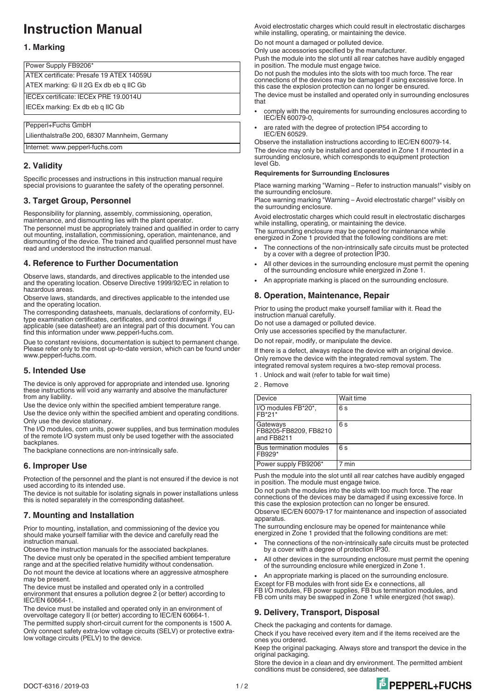# **Instruction Manual**

## **1. Marking**

| Power Supply FB9206*                      |
|-------------------------------------------|
| LATEX certificate: Presafe 19 ATEX 14059U |
| ATEX marking: ⓒ II 2G Ex db eb q IIC Gb   |
| I IECEx certificate: IECEx PRE 19.0014U   |
| IECEx marking: Ex db eb g IIC Gb          |
|                                           |

Pepperl+Fuchs GmbH

Lilienthalstraße 200, 68307 Mannheim, Germany

Internet: www.pepperl-fuchs.com

## **2. Validity**

Specific processes and instructions in this instruction manual require special provisions to guarantee the safety of the operating personnel.

### **3. Target Group, Personnel**

Responsibility for planning, assembly, commissioning, operation, maintenance, and dismounting lies with the plant operator.

The personnel must be appropriately trained and qualified in order to carry out mounting, installation, commissioning, operation, maintenance, and dismounting of the device. The trained and qualified personnel must have read and understood the instruction manual.

#### **4. Reference to Further Documentation**

Observe laws, standards, and directives applicable to the intended use and the operating location. Observe Directive 1999/92/EC in relation to hazardous areas.

Observe laws, standards, and directives applicable to the intended use and the operating location.

The corresponding datasheets, manuals, declarations of conformity, EUtype examination certificates, certificates, and control drawings if applicable (see datasheet) are an integral part of this document. You can find this information under www.pepperl-fuchs.com.

Due to constant revisions, documentation is subject to permanent change. Please refer only to the most up-to-date version, which can be found under www.pepperl-fuchs.com.

## **5. Intended Use**

The device is only approved for appropriate and intended use. Ignoring these instructions will void any warranty and absolve the manufacturer from any liability.

Use the device only within the specified ambient temperature range. Use the device only within the specified ambient and operating conditions. Only use the device stationary.

The I/O modules, com units, power supplies, and bus termination modules of the remote I/O system must only be used together with the associated backplanes.

The backplane connections are non-intrinsically safe.

#### **6. Improper Use**

Protection of the personnel and the plant is not ensured if the device is not used according to its intended use.

The device is not suitable for isolating signals in power installations unless this is noted separately in the corresponding datasheet.

## **7. Mounting and Installation**

Prior to mounting, installation, and commissioning of the device you should make yourself familiar with the device and carefully read the instruction manual.

Observe the instruction manuals for the associated backplanes. The device must only be operated in the specified ambient temperature range and at the specified relative humidity without condensation. Do not mount the device at locations where an aggressive atmosphere may be present.

The device must be installed and operated only in a controlled environment that ensures a pollution degree 2 (or better) according to IEC/EN 60664-1.

The device must be installed and operated only in an environment of overvoltage category II (or better) according to IEC/EN 60664-1.

The permitted supply short-circuit current for the components is 1500 A. Only connect safety extra-low voltage circuits (SELV) or protective extralow voltage circuits (PELV) to the device.

Avoid electrostatic charges which could result in electrostatic discharges while installing, operating, or maintaining the device.

Do not mount a damaged or polluted device.

Only use accessories specified by the manufacturer.

Push the module into the slot until all rear catches have audibly engaged in position. The module must engage twice.

Do not push the modules into the slots with too much force. The rear connections of the devices may be damaged if using excessive force. In this case the explosion protection can no longer be ensured. The device must be installed and operated only in surrounding enclosures

that comply with the requirements for surrounding enclosures according to

- IEC/EN 60079-0,
- are rated with the degree of protection IP54 according to IEC/EN 60529.

Observe the installation instructions according to IEC/EN 60079-14. The device may only be installed and operated in Zone 1 if mounted in a surrounding enclosure, which corresponds to equipment protection level Gb.

#### **Requirements for Surrounding Enclosures**

Place warning marking "Warning – Refer to instruction manuals!" visibly on the surrounding enclosure.

Place warning marking "Warning – Avoid electrostatic charge!" visibly on the surrounding enclosure.

Avoid electrostatic charges which could result in electrostatic discharges while installing, operating, or maintaining the device.

The surrounding enclosure may be opened for maintenance while energized in Zone 1 provided that the following conditions are met:

- The connections of the non-intrinsically safe circuits must be protected by a cover with a degree of protection IP30.
- All other devices in the surrounding enclosure must permit the opening of the surrounding enclosure while energized in Zone 1.
- An appropriate marking is placed on the surrounding enclosure.

## **8. Operation, Maintenance, Repair**

Prior to using the product make yourself familiar with it. Read the instruction manual carefully.

Do not use a damaged or polluted device.

Only use accessories specified by the manufacturer.

Do not repair, modify, or manipulate the device.

If there is a defect, always replace the device with an original device. Only remove the device with the integrated removal system. The integrated removal system requires a two-step removal process.

- 1 . Unlock and wait (refer to table for wait time)
- 2 . Remove

| Device                                          | Wait time |
|-------------------------------------------------|-----------|
| I/O modules FB*20*,<br>FB*21*                   | 6 s       |
| Gateways<br>FB8205-FB8209, FB8210<br>and FB8211 | 6 s       |
| Bus termination modules<br>FB929*               | 6 s       |
| Power supply FB9206*                            | 7 min     |

Push the module into the slot until all rear catches have audibly engaged in position. The module must engage twice.

Do not push the modules into the slots with too much force. The rear connections of the devices may be damaged if using excessive force. In this case the explosion protection can no longer be ensured. Observe IEC/EN 60079-17 for maintenance and inspection of associated

apparatus.

The surrounding enclosure may be opened for maintenance while energized in Zone 1 provided that the following conditions are met:

- The connections of the non-intrinsically safe circuits must be protected by a cover with a degree of protection IP30.
- All other devices in the surrounding enclosure must permit the opening of the surrounding enclosure while energized in Zone 1.
- An appropriate marking is placed on the surrounding enclosure.
- Except for FB modules with front side Ex e connections, all

FB I/O modules, FB power supplies, FB bus termination modules, and FB com units may be swapped in Zone 1 while energized (hot swap).

## **9. Delivery, Transport, Disposal**

Check the packaging and contents for damage.

Check if you have received every item and if the items received are the ones you ordered.

Keep the original packaging. Always store and transport the device in the original packaging.

Store the device in a clean and dry environment. The permitted ambient conditions must be considered, see datasheet.